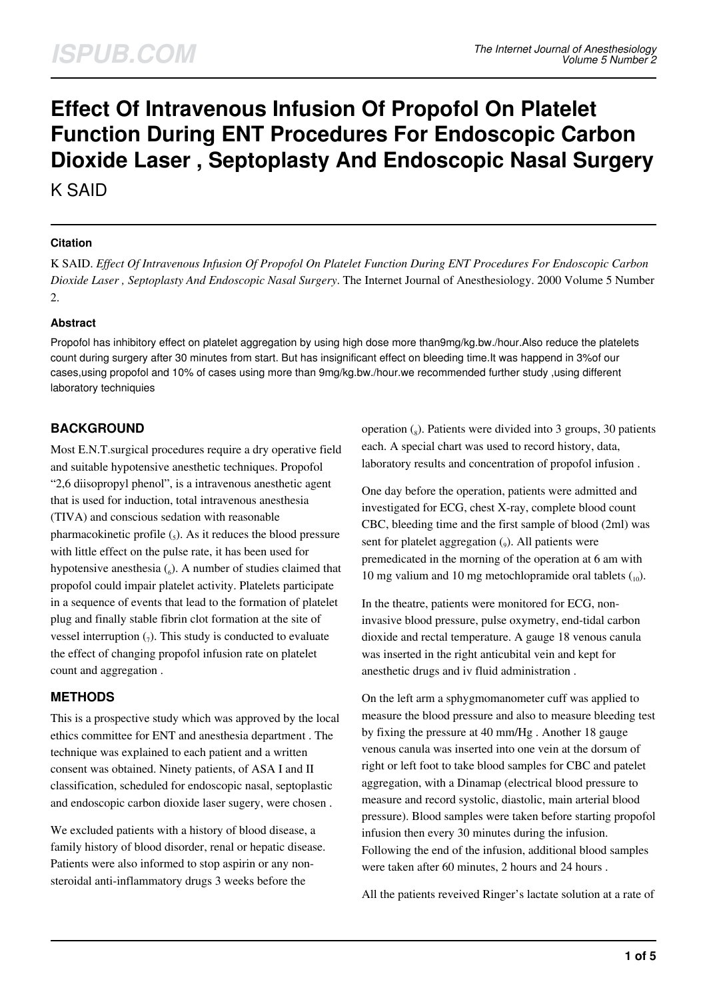# **Effect Of Intravenous Infusion Of Propofol On Platelet Function During ENT Procedures For Endoscopic Carbon Dioxide Laser , Septoplasty And Endoscopic Nasal Surgery**

K SAID

#### **Citation**

K SAID. *Effect Of Intravenous Infusion Of Propofol On Platelet Function During ENT Procedures For Endoscopic Carbon Dioxide Laser , Septoplasty And Endoscopic Nasal Surgery*. The Internet Journal of Anesthesiology. 2000 Volume 5 Number 2.

#### **Abstract**

Propofol has inhibitory effect on platelet aggregation by using high dose more than9mg/kg.bw./hour.Also reduce the platelets count during surgery after 30 minutes from start. But has insignificant effect on bleeding time.It was happend in 3%of our cases,using propofol and 10% of cases using more than 9mg/kg.bw./hour.we recommended further study ,using different laboratory techniquies

# **BACKGROUND**

Most E.N.T.surgical procedures require a dry operative field and suitable hypotensive anesthetic techniques. Propofol "2,6 diisopropyl phenol", is a intravenous anesthetic agent that is used for induction, total intravenous anesthesia (TIVA) and conscious sedation with reasonable pharmacokinetic profile  $\left($ <sub>5</sub> $\right)$ . As it reduces the blood pressure with little effect on the pulse rate, it has been used for hypotensive anesthesia  $\binom{6}{6}$ . A number of studies claimed that propofol could impair platelet activity. Platelets participate in a sequence of events that lead to the formation of platelet plug and finally stable fibrin clot formation at the site of vessel interruption  $_{(7)}$ . This study is conducted to evaluate the effect of changing propofol infusion rate on platelet count and aggregation .

# **METHODS**

This is a prospective study which was approved by the local ethics committee for ENT and anesthesia department . The technique was explained to each patient and a written consent was obtained. Ninety patients, of ASA I and II classification, scheduled for endoscopic nasal, septoplastic and endoscopic carbon dioxide laser sugery, were chosen .

We excluded patients with a history of blood disease, a family history of blood disorder, renal or hepatic disease. Patients were also informed to stop aspirin or any nonsteroidal anti-inflammatory drugs 3 weeks before the

operation  $\binom{8}{8}$ . Patients were divided into 3 groups, 30 patients each. A special chart was used to record history, data, laboratory results and concentration of propofol infusion .

One day before the operation, patients were admitted and investigated for ECG, chest X-ray, complete blood count CBC, bleeding time and the first sample of blood (2ml) was sent for platelet aggregation  $(_{9})$ . All patients were premedicated in the morning of the operation at 6 am with 10 mg valium and 10 mg metochlopramide oral tablets  $\binom{10}{10}$ .

In the theatre, patients were monitored for ECG, noninvasive blood pressure, pulse oxymetry, end-tidal carbon dioxide and rectal temperature. A gauge 18 venous canula was inserted in the right anticubital vein and kept for anesthetic drugs and iv fluid administration .

On the left arm a sphygmomanometer cuff was applied to measure the blood pressure and also to measure bleeding test by fixing the pressure at 40 mm/Hg . Another 18 gauge venous canula was inserted into one vein at the dorsum of right or left foot to take blood samples for CBC and patelet aggregation, with a Dinamap (electrical blood pressure to measure and record systolic, diastolic, main arterial blood pressure). Blood samples were taken before starting propofol infusion then every 30 minutes during the infusion. Following the end of the infusion, additional blood samples were taken after 60 minutes, 2 hours and 24 hours .

All the patients reveived Ringer's lactate solution at a rate of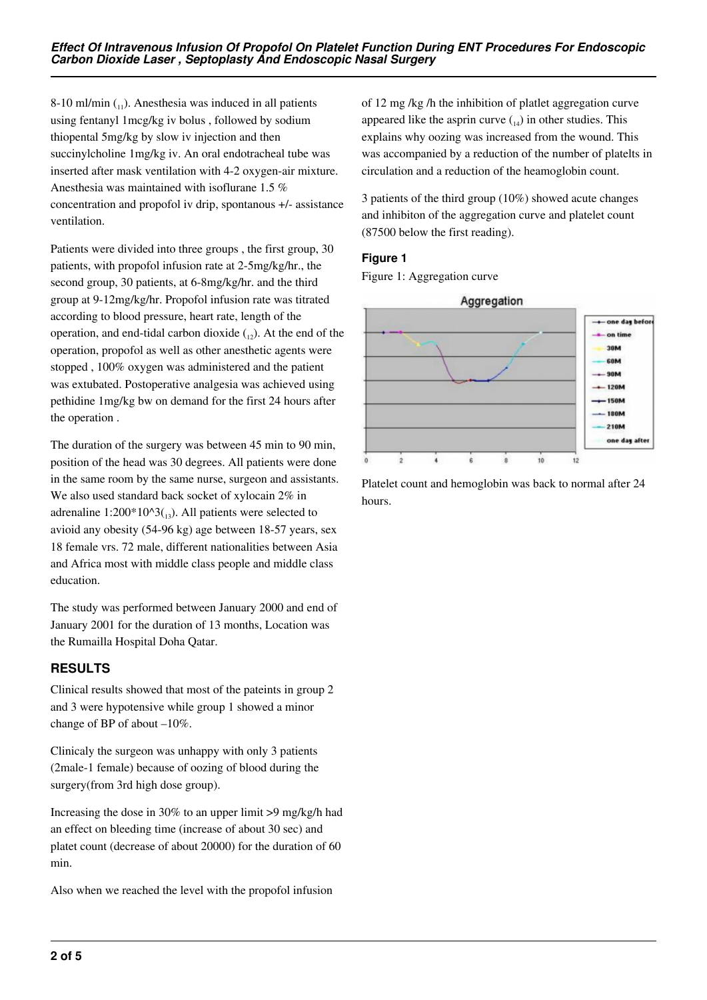8-10 ml/min  $\binom{11}{11}$ . Anesthesia was induced in all patients using fentanyl 1mcg/kg iv bolus , followed by sodium thiopental 5mg/kg by slow iv injection and then succinylcholine 1mg/kg iv. An oral endotracheal tube was inserted after mask ventilation with 4-2 oxygen-air mixture. Anesthesia was maintained with isoflurane 1.5 % concentration and propofol iv drip, spontanous +/- assistance ventilation.

Patients were divided into three groups , the first group, 30 patients, with propofol infusion rate at 2-5mg/kg/hr., the second group, 30 patients, at 6-8mg/kg/hr. and the third group at 9-12mg/kg/hr. Propofol infusion rate was titrated according to blood pressure, heart rate, length of the operation, and end-tidal carbon dioxide  $\binom{1}{12}$ . At the end of the operation, propofol as well as other anesthetic agents were stopped , 100% oxygen was administered and the patient was extubated. Postoperative analgesia was achieved using pethidine 1mg/kg bw on demand for the first 24 hours after the operation .

The duration of the surgery was between 45 min to 90 min, position of the head was 30 degrees. All patients were done in the same room by the same nurse, surgeon and assistants. We also used standard back socket of xylocain 2% in adrenaline 1:200\*10^3( $_{13}$ ). All patients were selected to avioid any obesity (54-96 kg) age between 18-57 years, sex 18 female vrs. 72 male, different nationalities between Asia and Africa most with middle class people and middle class education.

The study was performed between January 2000 and end of January 2001 for the duration of 13 months, Location was the Rumailla Hospital Doha Qatar.

## **RESULTS**

Clinical results showed that most of the pateints in group 2 and 3 were hypotensive while group 1 showed a minor change of BP of about –10%.

Clinicaly the surgeon was unhappy with only 3 patients (2male-1 female) because of oozing of blood during the surgery(from 3rd high dose group).

Increasing the dose in 30% to an upper limit >9 mg/kg/h had an effect on bleeding time (increase of about 30 sec) and platet count (decrease of about 20000) for the duration of 60 min.

Also when we reached the level with the propofol infusion

of 12 mg /kg /h the inhibition of platlet aggregation curve appeared like the asprin curve  $_{14}$ ) in other studies. This explains why oozing was increased from the wound. This was accompanied by a reduction of the number of platelts in circulation and a reduction of the heamoglobin count.

3 patients of the third group (10%) showed acute changes and inhibiton of the aggregation curve and platelet count (87500 below the first reading).

#### **Figure 1**

Figure 1: Aggregation curve



Platelet count and hemoglobin was back to normal after 24 hours.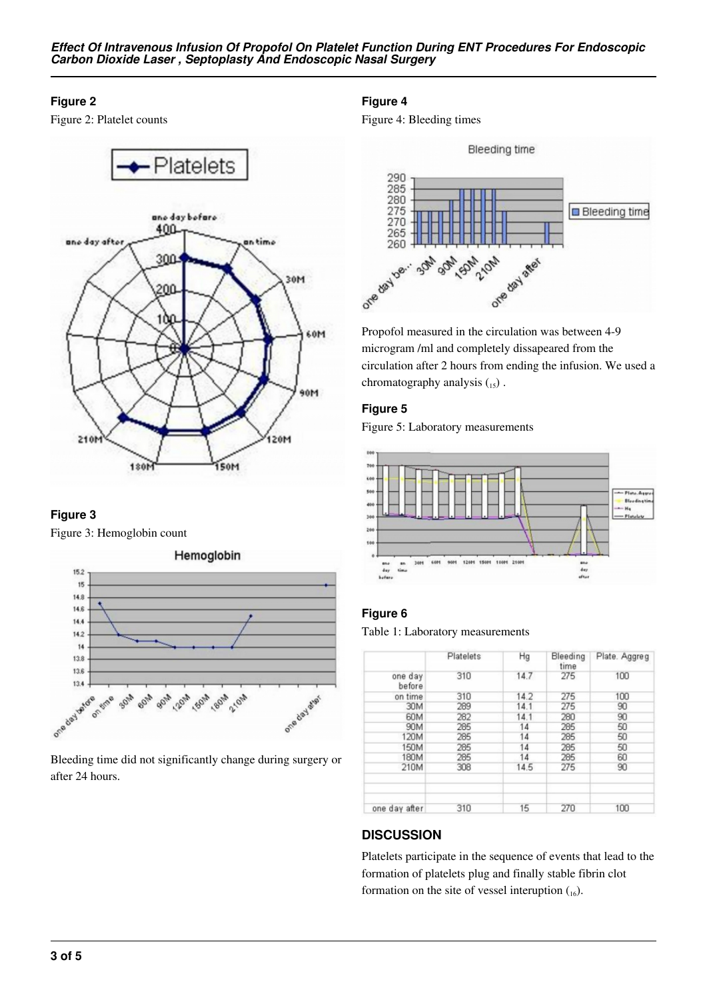*Effect Of Intravenous Infusion Of Propofol On Platelet Function During ENT Procedures For Endoscopic Carbon Dioxide Laser , Septoplasty And Endoscopic Nasal Surgery*

#### **Figure 2**

Figure 2: Platelet counts



## **Figure 3**

Figure 3: Hemoglobin count



Bleeding time did not significantly change during surgery or after 24 hours.

## **Figure 4**

Figure 4: Bleeding times



Propofol measured in the circulation was between 4-9 microgram /ml and completely dissapeared from the circulation after 2 hours from ending the infusion. We used a chromatography analysis  $_{15}$ ).

#### **Figure 5**

Figure 5: Laboratory measurements



## **Figure 6**

Table 1: Laboratory measurements

|                   | Platelets | Hg   | Bleeding<br>time | Plate. Aggreg |
|-------------------|-----------|------|------------------|---------------|
| one day<br>before | 310       | 14.7 | 275              | 100           |
| on time           | 310       | 14.2 | 275              | 100           |
| 30M               | 289       | 14.1 | 275              | 90            |
| 60M               | 282       | 14.1 | 280              | 90            |
| 90M               | 285       | 14   | 285              | 50            |
| 120M              | 285       | 14   | 285              | 50            |
| 150M              | 285       | 14   | 285              | 50            |
| 180M              | 285       | 14   | 285              | 60            |
| 210M              | 308       | 14.5 | 275              | 90            |
|                   |           |      |                  |               |
| one day after     | 310       | 15   | 270              | 100           |

## **DISCUSSION**

Platelets participate in the sequence of events that lead to the formation of platelets plug and finally stable fibrin clot formation on the site of vessel interuption  $\binom{16}{16}$ .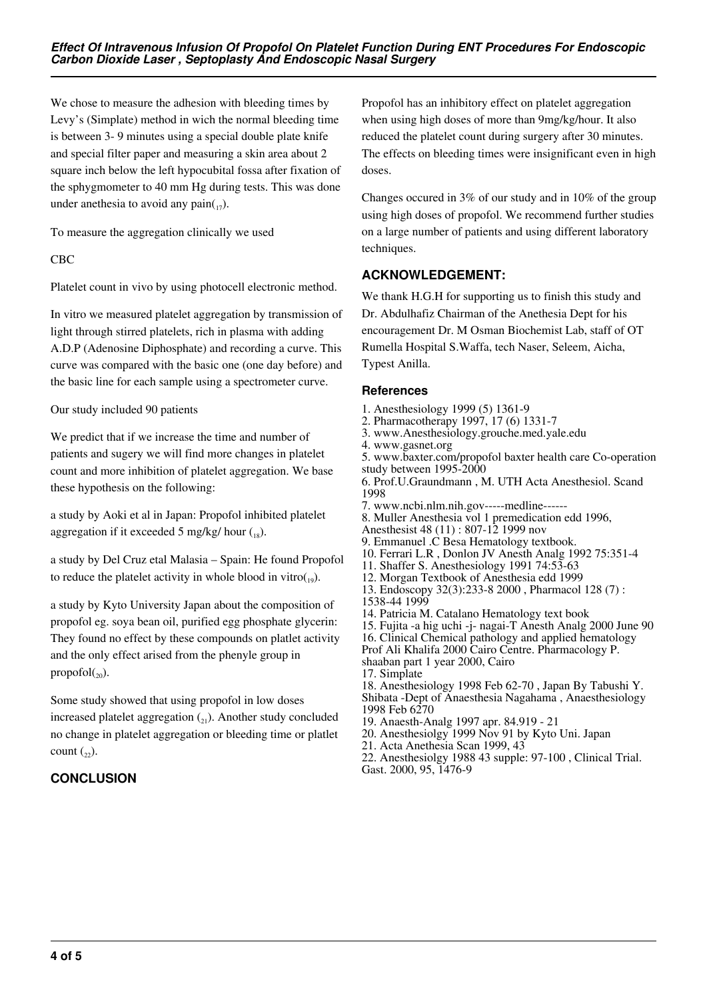We chose to measure the adhesion with bleeding times by Levy's (Simplate) method in wich the normal bleeding time is between 3- 9 minutes using a special double plate knife and special filter paper and measuring a skin area about 2 square inch below the left hypocubital fossa after fixation of the sphygmometer to 40 mm Hg during tests. This was done under anethesia to avoid any pain $_{17}$ ).

To measure the aggregation clinically we used

#### CBC

Platelet count in vivo by using photocell electronic method.

In vitro we measured platelet aggregation by transmission of light through stirred platelets, rich in plasma with adding A.D.P (Adenosine Diphosphate) and recording a curve. This curve was compared with the basic one (one day before) and the basic line for each sample using a spectrometer curve.

Our study included 90 patients

We predict that if we increase the time and number of patients and sugery we will find more changes in platelet count and more inhibition of platelet aggregation. We base these hypothesis on the following:

a study by Aoki et al in Japan: Propofol inhibited platelet aggregation if it exceeded 5 mg/kg/ hour  $\binom{18}{18}$ .

a study by Del Cruz etal Malasia – Spain: He found Propofol to reduce the platelet activity in whole blood in vitro $_{19}$ ).

a study by Kyto University Japan about the composition of propofol eg. soya bean oil, purified egg phosphate glycerin: They found no effect by these compounds on platlet activity and the only effect arised from the phenyle group in propofol $_{(20)}$ .

Some study showed that using propofol in low doses increased platelet aggregation  $\binom{1}{2}$ . Another study concluded no change in platelet aggregation or bleeding time or platlet count  $\binom{2}{2}$ .

# **CONCLUSION**

Propofol has an inhibitory effect on platelet aggregation when using high doses of more than 9mg/kg/hour. It also reduced the platelet count during surgery after 30 minutes. The effects on bleeding times were insignificant even in high doses.

Changes occured in 3% of our study and in 10% of the group using high doses of propofol. We recommend further studies on a large number of patients and using different laboratory techniques.

## **ACKNOWLEDGEMENT:**

We thank H.G.H for supporting us to finish this study and Dr. Abdulhafiz Chairman of the Anethesia Dept for his encouragement Dr. M Osman Biochemist Lab, staff of OT Rumella Hospital S.Waffa, tech Naser, Seleem, Aicha, Typest Anilla.

#### **References**

- 1. Anesthesiology 1999 (5) 1361-9
- 2. Pharmacotherapy 1997, 17 (6) 1331-7
- 3. www.Anesthesiology.grouche.med.yale.edu
- 4. www.gasnet.org

5. www.baxter.com/propofol baxter health care Co-operation study between 1995-2000 6. Prof.U.Graundmann , M. UTH Acta Anesthesiol. Scand 1998

- 7. www.ncbi.nlm.nih.gov-----medline------
- 8. Muller Anesthesia vol 1 premedication edd 1996,
- Anesthesist 48 (11) : 807-12 1999 nov
- 9. Emmanuel .C Besa Hematology textbook.
- 10. Ferrari L.R , Donlon JV Anesth Analg 1992 75:351-4
- 11. Shaffer S. Anesthesiology 1991 74:53-63
- 12. Morgan Textbook of Anesthesia edd 1999
- 13. Endoscopy 32(3):233-8 2000 , Pharmacol 128 (7) :
- 1538-44 1999
- 14. Patricia M. Catalano Hematology text book
- 15. Fujita -a hig uchi -j- nagai-T Anesth Analg 2000 June 90
- 16. Clinical Chemical pathology and applied hematology Prof Ali Khalifa 2000 Cairo Centre. Pharmacology P.
- shaaban part 1 year 2000, Cairo
- 17. Simplate

18. Anesthesiology 1998 Feb 62-70 , Japan By Tabushi Y. Shibata -Dept of Anaesthesia Nagahama , Anaesthesiology 1998 Feb 6270

- 19. Anaesth-Analg 1997 apr. 84.919 21
- 20. Anesthesiolgy 1999 Nov 91 by Kyto Uni. Japan
- 21. Acta Anethesia Scan 1999, 43
- 22. Anesthesiolgy 1988 43 supple: 97-100 , Clinical Trial. Gast. 2000, 95, 1476-9